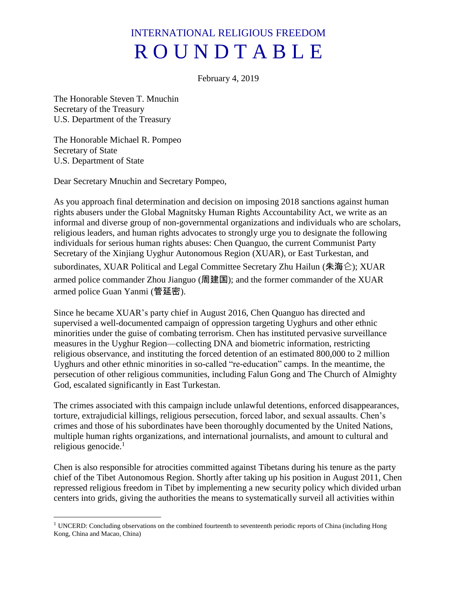# INTERNATIONAL RELIGIOUS FREEDOM R O U N D T A B L E

February 4, 2019

The Honorable Steven T. Mnuchin Secretary of the Treasury U.S. Department of the Treasury

The Honorable Michael R. Pompeo Secretary of State U.S. Department of State

 $\overline{\phantom{a}}$ 

Dear Secretary Mnuchin and Secretary Pompeo,

As you approach final determination and decision on imposing 2018 sanctions against human rights abusers under the Global Magnitsky Human Rights Accountability Act, we write as an informal and diverse group of non-governmental organizations and individuals who are scholars, religious leaders, and human rights advocates to strongly urge you to designate the following individuals for serious human rights abuses: Chen Quanguo, the current Communist Party Secretary of the Xinjiang Uyghur Autonomous Region (XUAR), or East Turkestan, and subordinates, XUAR Political and Legal Committee Secretary Zhu Hailun (朱海仑); XUAR armed police commander Zhou Jianguo (周建国); and the former commander of the XUAR armed police Guan Yanmi (管延密).

Since he became XUAR's party chief in August 2016, Chen Quanguo has directed and supervised a well-documented campaign of oppression targeting Uyghurs and other ethnic minorities under the guise of combating terrorism. Chen has instituted pervasive surveillance measures in the Uyghur Region—collecting DNA and biometric information, restricting religious observance, and instituting the forced detention of an estimated 800,000 to 2 million Uyghurs and other ethnic minorities in so-called "re-education" camps. In the meantime, the persecution of other religious communities, including Falun Gong and The Church of Almighty God, escalated significantly in East Turkestan.

The crimes associated with this campaign include unlawful detentions, enforced disappearances, torture, extrajudicial killings, religious persecution, forced labor, and sexual assaults. Chen's crimes and those of his subordinates have been thoroughly documented by the United Nations, multiple human rights organizations, and international journalists, and amount to cultural and religious genocide. $<sup>1</sup>$ </sup>

Chen is also responsible for atrocities committed against Tibetans during his tenure as the party chief of the Tibet Autonomous Region. Shortly after taking up his position in August 2011, Chen repressed religious freedom in Tibet by implementing a new security policy which divided urban centers into grids, giving the authorities the means to systematically surveil all activities within

<sup>&</sup>lt;sup>1</sup> UNCERD: Concluding observations on the combined fourteenth to seventeenth periodic reports of China (including Hong Kong, China and Macao, China)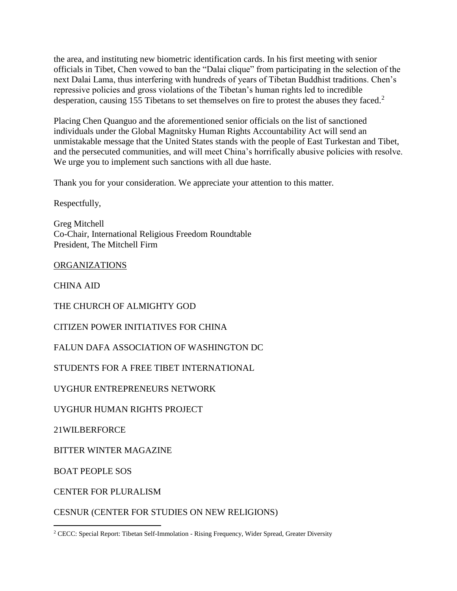the area, and instituting new biometric identification cards. In his first meeting with senior officials in Tibet, Chen vowed to ban the "Dalai clique" from participating in the selection of the next Dalai Lama, thus interfering with hundreds of years of Tibetan Buddhist traditions. Chen's repressive policies and gross violations of the Tibetan's human rights led to incredible desperation, causing 155 Tibetans to set themselves on fire to protest the abuses they faced.<sup>2</sup>

Placing Chen Quanguo and the aforementioned senior officials on the list of sanctioned individuals under the Global Magnitsky Human Rights Accountability Act will send an unmistakable message that the United States stands with the people of East Turkestan and Tibet, and the persecuted communities, and will meet China's horrifically abusive policies with resolve. We urge you to implement such sanctions with all due haste.

Thank you for your consideration. We appreciate your attention to this matter.

Respectfully,

Greg Mitchell Co-Chair, International Religious Freedom Roundtable President, The Mitchell Firm

ORGANIZATIONS

CHINA AID

THE CHURCH OF ALMIGHTY GOD

CITIZEN POWER INITIATIVES FOR CHINA

FALUN DAFA ASSOCIATION OF WASHINGTON DC

STUDENTS FOR A FREE TIBET INTERNATIONAL

UYGHUR ENTREPRENEURS NETWORK

UYGHUR HUMAN RIGHTS PROJECT

21WILBERFORCE

BITTER WINTER MAGAZINE

BOAT PEOPLE SOS

 $\overline{a}$ 

CENTER FOR PLURALISM

CESNUR (CENTER FOR STUDIES ON NEW RELIGIONS)

<sup>&</sup>lt;sup>2</sup> CECC: Special Report: Tibetan Self-Immolation - Rising Frequency, Wider Spread, Greater Diversity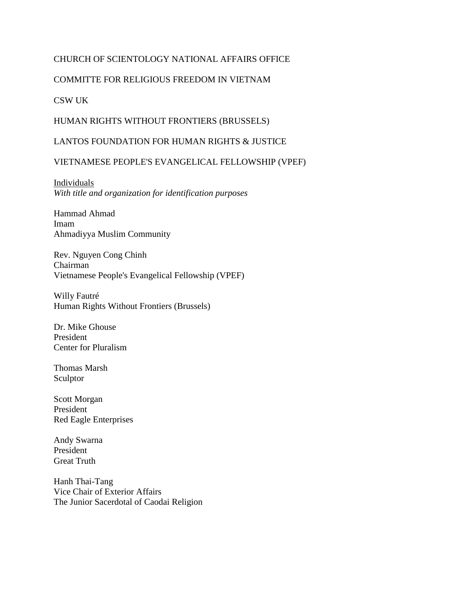## CHURCH OF SCIENTOLOGY NATIONAL AFFAIRS OFFICE

### COMMITTE FOR RELIGIOUS FREEDOM IN VIETNAM

#### CSW UK

#### HUMAN RIGHTS WITHOUT FRONTIERS (BRUSSELS)

#### LANTOS FOUNDATION FOR HUMAN RIGHTS & JUSTICE

#### VIETNAMESE PEOPLE'S EVANGELICAL FELLOWSHIP (VPEF)

Individuals *With title and organization for identification purposes*

Hammad Ahmad Imam Ahmadiyya Muslim Community

Rev. Nguyen Cong Chinh Chairman Vietnamese People's Evangelical Fellowship (VPEF)

Willy Fautré Human Rights Without Frontiers (Brussels)

Dr. Mike Ghouse President Center for Pluralism

Thomas Marsh Sculptor

Scott Morgan President Red Eagle Enterprises

Andy Swarna President Great Truth

Hanh Thai-Tang Vice Chair of Exterior Affairs The Junior Sacerdotal of Caodai Religion